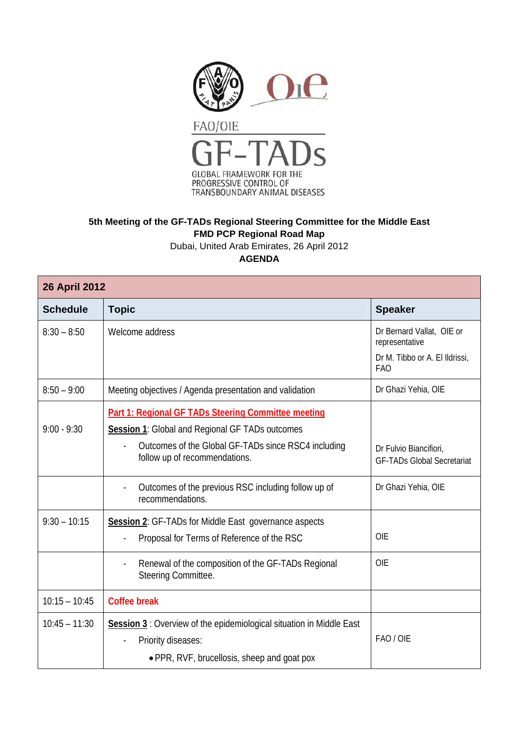

## **5th Meeting of the GF-TADs Regional Steering Committee for the Middle East FMD PCP Regional Road Map**

Dubai, United Arab Emirates, 26 April 2012

**AGENDA** 

| <b>26 April 2012</b> |                                                                                                                                                                                                |                                                             |  |
|----------------------|------------------------------------------------------------------------------------------------------------------------------------------------------------------------------------------------|-------------------------------------------------------------|--|
| <b>Schedule</b>      | <b>Topic</b>                                                                                                                                                                                   | <b>Speaker</b>                                              |  |
| $8:30 - 8:50$        | Welcome address                                                                                                                                                                                | Dr Bernard Vallat, OIE or<br>representative                 |  |
|                      |                                                                                                                                                                                                | Dr M. Tibbo or A. El Ildrissi,<br><b>FAO</b>                |  |
| $8:50 - 9:00$        | Meeting objectives / Agenda presentation and validation                                                                                                                                        | Dr Ghazi Yehia, OIE                                         |  |
| $9:00 - 9:30$        | Part 1: Regional GF TADs Steering Committee meeting<br>Session 1: Global and Regional GF TADs outcomes<br>Outcomes of the Global GF-TADs since RSC4 including<br>follow up of recommendations. | Dr Fulvio Biancifiori,<br><b>GF-TADs Global Secretariat</b> |  |
|                      | Outcomes of the previous RSC including follow up of<br>recommendations.                                                                                                                        | Dr Ghazi Yehia, OIE                                         |  |
| $9:30 - 10:15$       | Session 2: GF-TADs for Middle East governance aspects                                                                                                                                          |                                                             |  |
|                      | Proposal for Terms of Reference of the RSC                                                                                                                                                     | <b>OIE</b>                                                  |  |
|                      | Renewal of the composition of the GF-TADs Regional<br>Steering Committee.                                                                                                                      | <b>OIE</b>                                                  |  |
| $10:15 - 10:45$      | <b>Coffee break</b>                                                                                                                                                                            |                                                             |  |
| $10:45 - 11:30$      | Session 3: Overview of the epidemiological situation in Middle East<br>Priority diseases:<br>• PPR, RVF, brucellosis, sheep and goat pox                                                       | FAO / OIE                                                   |  |